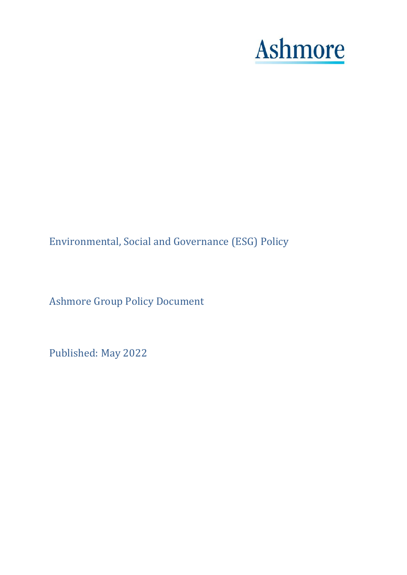# **Ashmore**

Environmental, Social and Governance (ESG) Policy

Ashmore Group Policy Document

Published: May 2022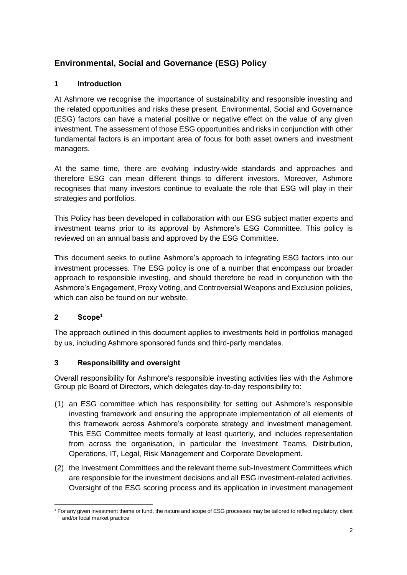# **Environmental, Social and Governance (ESG) Policy**

# **1 Introduction**

At Ashmore we recognise the importance of sustainability and responsible investing and the related opportunities and risks these present. Environmental, Social and Governance (ESG) factors can have a material positive or negative effect on the value of any given investment. The assessment of those ESG opportunities and risks in conjunction with other fundamental factors is an important area of focus for both asset owners and investment managers.

At the same time, there are evolving industry-wide standards and approaches and therefore ESG can mean different things to different investors. Moreover, Ashmore recognises that many investors continue to evaluate the role that ESG will play in their strategies and portfolios.

This Policy has been developed in collaboration with our ESG subject matter experts and investment teams prior to its approval by Ashmore's ESG Committee. This policy is reviewed on an annual basis and approved by the ESG Committee.

This document seeks to outline Ashmore's approach to integrating ESG factors into our investment processes. The ESG policy is one of a number that encompass our broader approach to responsible investing, and should therefore be read in conjunction with the Ashmore's Engagement, Proxy Voting, and Controversial Weapons and Exclusion policies, which can also be found on our website.

# **2 Scope<sup>1</sup>**

The approach outlined in this document applies to investments held in portfolios managed by us, including Ashmore sponsored funds and third-party mandates.

# **3 Responsibility and oversight**

Overall responsibility for Ashmore's responsible investing activities lies with the Ashmore Group plc Board of Directors, which delegates day-to-day responsibility to:

- (1) an ESG committee which has responsibility for setting out Ashmore's responsible investing framework and ensuring the appropriate implementation of all elements of this framework across Ashmore's corporate strategy and investment management. This ESG Committee meets formally at least quarterly, and includes representation from across the organisation, in particular the Investment Teams, Distribution, Operations, IT, Legal, Risk Management and Corporate Development.
- (2) the Investment Committees and the relevant theme sub-Investment Committees which are responsible for the investment decisions and all ESG investment-related activities. Oversight of the ESG scoring process and its application in investment management

<sup>1</sup> <sup>1</sup> For any given investment theme or fund, the nature and scope of ESG processes may be tailored to reflect regulatory, client and/or local market practice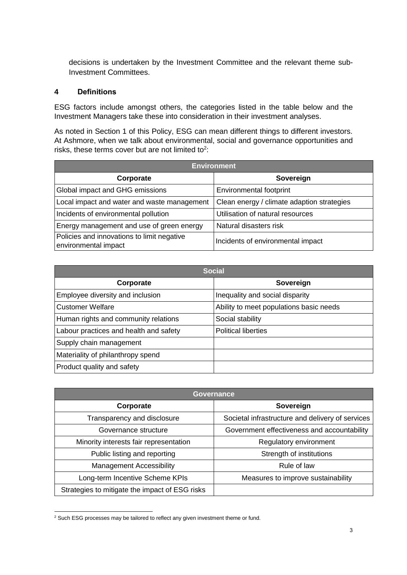decisions is undertaken by the Investment Committee and the relevant theme sub-Investment Committees.

#### **4 Definitions**

ESG factors include amongst others, the categories listed in the table below and the Investment Managers take these into consideration in their investment analyses.

As noted in Section 1 of this Policy, ESG can mean different things to different investors. At Ashmore, when we talk about environmental, social and governance opportunities and risks, these terms cover but are not limited to<sup>2</sup>:

| <b>Environment</b>                                                 |                                            |  |
|--------------------------------------------------------------------|--------------------------------------------|--|
| Corporate                                                          | Sovereign                                  |  |
| Global impact and GHG emissions                                    | <b>Environmental footprint</b>             |  |
| Local impact and water and waste management                        | Clean energy / climate adaption strategies |  |
| Incidents of environmental pollution                               | Utilisation of natural resources           |  |
| Energy management and use of green energy                          | Natural disasters risk                     |  |
| Policies and innovations to limit negative<br>environmental impact | Incidents of environmental impact          |  |

| <b>Social</b>                          |                                         |
|----------------------------------------|-----------------------------------------|
| Corporate                              | Sovereign                               |
| Employee diversity and inclusion       | Inequality and social disparity         |
| <b>Customer Welfare</b>                | Ability to meet populations basic needs |
| Human rights and community relations   | Social stability                        |
| Labour practices and health and safety | <b>Political liberties</b>              |
| Supply chain management                |                                         |
| Materiality of philanthropy spend      |                                         |
| Product quality and safety             |                                         |

| <b>Governance</b>                              |                                                  |
|------------------------------------------------|--------------------------------------------------|
| Corporate                                      | Sovereign                                        |
| Transparency and disclosure                    | Societal infrastructure and delivery of services |
| Governance structure                           | Government effectiveness and accountability      |
| Minority interests fair representation         | Regulatory environment                           |
| Public listing and reporting                   | Strength of institutions                         |
| <b>Management Accessibility</b>                | Rule of law                                      |
| Long-term Incentive Scheme KPIs                | Measures to improve sustainability               |
| Strategies to mitigate the impact of ESG risks |                                                  |

<sup>-</sup><sup>2</sup> Such ESG processes may be tailored to reflect any given investment theme or fund.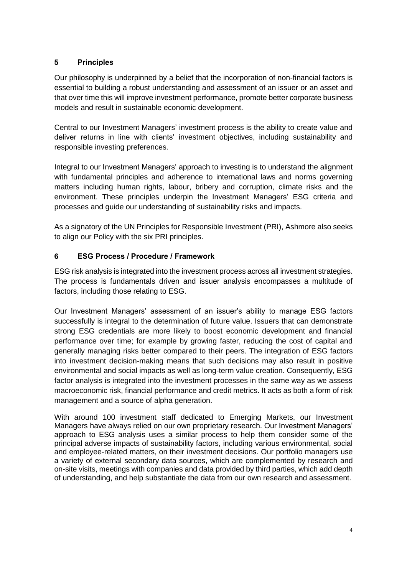# **5 Principles**

Our philosophy is underpinned by a belief that the incorporation of non-financial factors is essential to building a robust understanding and assessment of an issuer or an asset and that over time this will improve investment performance, promote better corporate business models and result in sustainable economic development.

Central to our Investment Managers' investment process is the ability to create value and deliver returns in line with clients' investment objectives, including sustainability and responsible investing preferences.

Integral to our Investment Managers' approach to investing is to understand the alignment with fundamental principles and adherence to international laws and norms governing matters including human rights, labour, bribery and corruption, climate risks and the environment. These principles underpin the Investment Managers' ESG criteria and processes and guide our understanding of sustainability risks and impacts.

As a signatory of the UN Principles for Responsible Investment (PRI), Ashmore also seeks to align our Policy with the six PRI principles.

# **6 ESG Process / Procedure / Framework**

ESG risk analysis is integrated into the investment process across all investment strategies. The process is fundamentals driven and issuer analysis encompasses a multitude of factors, including those relating to ESG.

Our Investment Managers' assessment of an issuer's ability to manage ESG factors successfully is integral to the determination of future value. Issuers that can demonstrate strong ESG credentials are more likely to boost economic development and financial performance over time; for example by growing faster, reducing the cost of capital and generally managing risks better compared to their peers. The integration of ESG factors into investment decision-making means that such decisions may also result in positive environmental and social impacts as well as long-term value creation. Consequently, ESG factor analysis is integrated into the investment processes in the same way as we assess macroeconomic risk, financial performance and credit metrics. It acts as both a form of risk management and a source of alpha generation.

With around 100 investment staff dedicated to Emerging Markets, our Investment Managers have always relied on our own proprietary research. Our Investment Managers' approach to ESG analysis uses a similar process to help them consider some of the principal adverse impacts of sustainability factors, including various environmental, social and employee-related matters, on their investment decisions. Our portfolio managers use a variety of external secondary data sources, which are complemented by research and on-site visits, meetings with companies and data provided by third parties, which add depth of understanding, and help substantiate the data from our own research and assessment.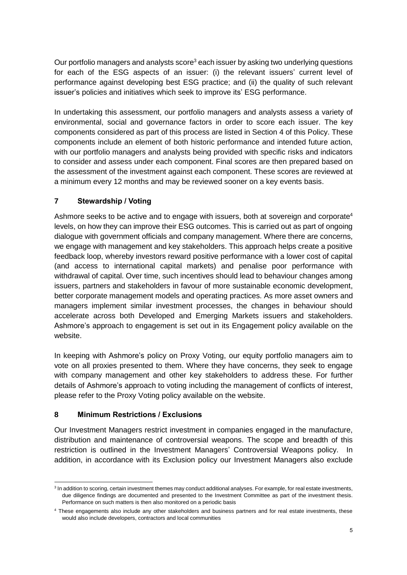Our portfolio managers and analysts score<sup>3</sup> each issuer by asking two underlying questions for each of the ESG aspects of an issuer: (i) the relevant issuers' current level of performance against developing best ESG practice; and (ii) the quality of such relevant issuer's policies and initiatives which seek to improve its' ESG performance.

In undertaking this assessment, our portfolio managers and analysts assess a variety of environmental, social and governance factors in order to score each issuer. The key components considered as part of this process are listed in Section 4 of this Policy. These components include an element of both historic performance and intended future action, with our portfolio managers and analysts being provided with specific risks and indicators to consider and assess under each component. Final scores are then prepared based on the assessment of the investment against each component. These scores are reviewed at a minimum every 12 months and may be reviewed sooner on a key events basis.

# **7 Stewardship / Voting**

Ashmore seeks to be active and to engage with issuers, both at sovereign and corporate<sup>4</sup> levels, on how they can improve their ESG outcomes. This is carried out as part of ongoing dialogue with government officials and company management. Where there are concerns, we engage with management and key stakeholders. This approach helps create a positive feedback loop, whereby investors reward positive performance with a lower cost of capital (and access to international capital markets) and penalise poor performance with withdrawal of capital. Over time, such incentives should lead to behaviour changes among issuers, partners and stakeholders in favour of more sustainable economic development, better corporate management models and operating practices. As more asset owners and managers implement similar investment processes, the changes in behaviour should accelerate across both Developed and Emerging Markets issuers and stakeholders. Ashmore's approach to engagement is set out in its Engagement policy available on the website.

In keeping with Ashmore's policy on Proxy Voting, our equity portfolio managers aim to vote on all proxies presented to them. Where they have concerns, they seek to engage with company management and other key stakeholders to address these. For further details of Ashmore's approach to voting including the management of conflicts of interest, please refer to the Proxy Voting policy available on the website.

# **8 Minimum Restrictions / Exclusions**

Our Investment Managers restrict investment in companies engaged in the manufacture, distribution and maintenance of controversial weapons. The scope and breadth of this restriction is outlined in the Investment Managers' Controversial Weapons policy. In addition, in accordance with its Exclusion policy our Investment Managers also exclude

<sup>1</sup> <sup>3</sup> In addition to scoring, certain investment themes may conduct additional analyses. For example, for real estate investments, due diligence findings are documented and presented to the Investment Committee as part of the investment thesis. Performance on such matters is then also monitored on a periodic basis

<sup>4</sup> These engagements also include any other stakeholders and business partners and for real estate investments, these would also include developers, contractors and local communities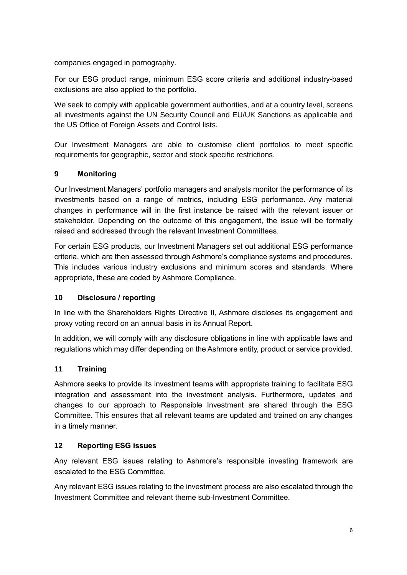companies engaged in pornography.

For our ESG product range, minimum ESG score criteria and additional industry-based exclusions are also applied to the portfolio.

We seek to comply with applicable government authorities, and at a country level, screens all investments against the UN Security Council and EU/UK Sanctions as applicable and the US Office of Foreign Assets and Control lists.

Our Investment Managers are able to customise client portfolios to meet specific requirements for geographic, sector and stock specific restrictions.

# **9 Monitoring**

Our Investment Managers' portfolio managers and analysts monitor the performance of its investments based on a range of metrics, including ESG performance. Any material changes in performance will in the first instance be raised with the relevant issuer or stakeholder. Depending on the outcome of this engagement, the issue will be formally raised and addressed through the relevant Investment Committees.

For certain ESG products, our Investment Managers set out additional ESG performance criteria, which are then assessed through Ashmore's compliance systems and procedures. This includes various industry exclusions and minimum scores and standards. Where appropriate, these are coded by Ashmore Compliance.

# **10 Disclosure / reporting**

In line with the Shareholders Rights Directive II, Ashmore discloses its engagement and proxy voting record on an annual basis in its Annual Report.

In addition, we will comply with any disclosure obligations in line with applicable laws and regulations which may differ depending on the Ashmore entity, product or service provided.

# **11 Training**

Ashmore seeks to provide its investment teams with appropriate training to facilitate ESG integration and assessment into the investment analysis. Furthermore, updates and changes to our approach to Responsible Investment are shared through the ESG Committee. This ensures that all relevant teams are updated and trained on any changes in a timely manner.

# **12 Reporting ESG issues**

Any relevant ESG issues relating to Ashmore's responsible investing framework are escalated to the ESG Committee.

Any relevant ESG issues relating to the investment process are also escalated through the Investment Committee and relevant theme sub-Investment Committee.